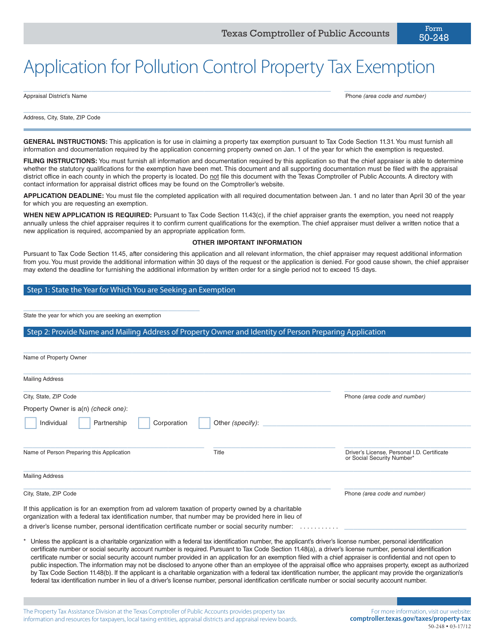# Application for Pollution Control Property Tax Exemption

Appraisal District's Name Phone *(area code and number)*

Address, City, State, ZIP Code

**GENERAL INSTRUCTIONS:** This application is for use in claiming a property tax exemption pursuant to Tax Code Section 11.31. You must furnish all information and documentation required by the application concerning property owned on Jan. 1 of the year for which the exemption is requested.

 $\_$  ,  $\_$  ,  $\_$  ,  $\_$  ,  $\_$  ,  $\_$  ,  $\_$  ,  $\_$  ,  $\_$  ,  $\_$  ,  $\_$  ,  $\_$  ,  $\_$  ,  $\_$  ,  $\_$  ,  $\_$  ,  $\_$  ,  $\_$  ,  $\_$  ,  $\_$  ,  $\_$  ,  $\_$  ,  $\_$  ,  $\_$  ,  $\_$  ,  $\_$  ,  $\_$  ,  $\_$  ,  $\_$  ,  $\_$  ,  $\_$  ,  $\_$  ,  $\_$  ,  $\_$  ,  $\_$  ,  $\_$  ,  $\_$  ,

 $\_$  , and the set of the set of the set of the set of the set of the set of the set of the set of the set of the set of the set of the set of the set of the set of the set of the set of the set of the set of the set of th

FILING INSTRUCTIONS: You must furnish all information and documentation required by this application so that the chief appraiser is able to determine whether the statutory qualifications for the exemption have been met. This document and all supporting documentation must be filed with the appraisal district office in each county in which the property is located. Do not file this document with the Texas Comptroller of Public Accounts. A directory with contact information for appraisal district offices may be found on the Comptroller's website.

**APPLICATION DEADLINE:** You must file the completed application with all required documentation between Jan. 1 and no later than April 30 of the year for which you are requesting an exemption.

**WHEN NEW APPLICATION IS REQUIRED:** Pursuant to Tax Code Section 11.43(c), if the chief appraiser grants the exemption, you need not reapply annually unless the chief appraiser requires it to confirm current qualifications for the exemption. The chief appraiser must deliver a written notice that a new application is required, accompanied by an appropriate application form.

#### **OTHER IMPORTANT INFORMATION**

Pursuant to Tax Code Section 11.45, after considering this application and all relevant information, the chief appraiser may request additional information from you. You must provide the additional information within 30 days of the request or the application is denied. For good cause shown, the chief appraiser may extend the deadline for furnishing the additional information by written order for a single period not to exceed 15 days.

#### Step 1: State the Year for Which You are Seeking an Exemption

State the year for which you are seeking an exemption

\_\_\_\_\_\_\_\_\_\_\_\_\_\_\_\_\_\_\_\_\_\_\_\_\_\_\_\_\_\_\_\_\_\_\_\_\_\_\_

#### Step 2: Provide Name and Mailing Address of Property Owner and Identity of Person Preparing Application

| Name of Property Owner                                                                                                                                                                                   |                  |                                                                           |
|----------------------------------------------------------------------------------------------------------------------------------------------------------------------------------------------------------|------------------|---------------------------------------------------------------------------|
| <b>Mailing Address</b>                                                                                                                                                                                   |                  |                                                                           |
| City, State, ZIP Code                                                                                                                                                                                    |                  | Phone (area code and number)                                              |
| Property Owner is a(n) (check one):                                                                                                                                                                      |                  |                                                                           |
| Individual<br>Partnership<br>Corporation                                                                                                                                                                 | Other (specify): |                                                                           |
| Name of Person Preparing this Application                                                                                                                                                                | Title            | Driver's License, Personal I.D. Certificate<br>or Social Security Number* |
| <b>Mailing Address</b>                                                                                                                                                                                   |                  |                                                                           |
| City, State, ZIP Code                                                                                                                                                                                    |                  | Phone (area code and number)                                              |
| If this application is for an exemption from ad valorem taxation of property owned by a charitable<br>organization with a federal tax identification number, that number may be provided here in lieu of |                  |                                                                           |
| a driver's license number, personal identification certificate number or social security number:                                                                                                         |                  | .                                                                         |

Unless the applicant is a charitable organization with a federal tax identification number, the applicant's driver's license number, personal identification certificate number or social security account number is required. Pursuant to Tax Code Section 11.48(a), a driver's license number, personal identification certificate number or social security account number provided in an application for an exemption filed with a chief appraiser is confidential and not open to public inspection. The information may not be disclosed to anyone other than an employee of the appraisal office who appraises property, except as authorized by Tax Code Section 11.48(b). If the applicant is a charitable organization with a federal tax identification number, the applicant may provide the organization's federal tax identification number in lieu of a driver's license number, personal identification certificate number or social security account number.